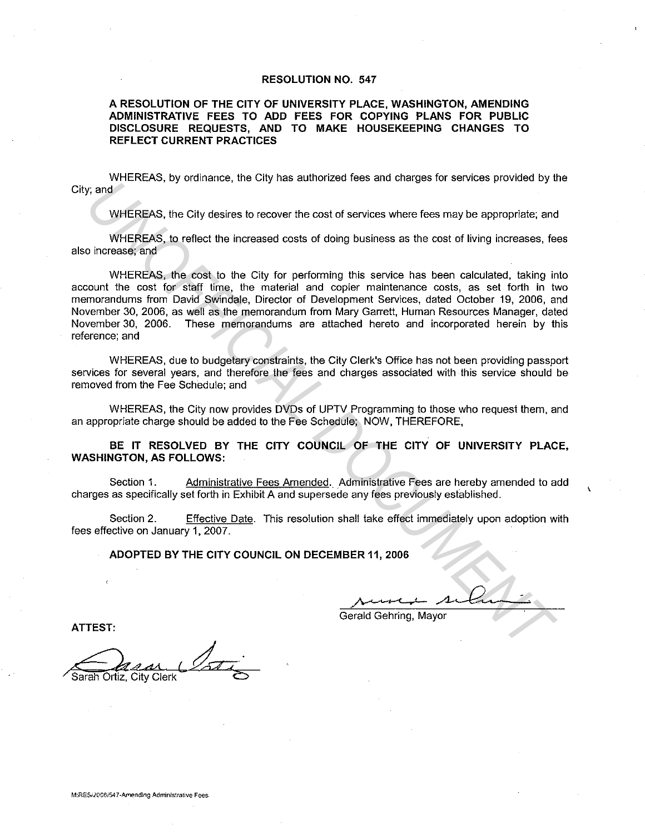#### **RESOLUTION NO. 547**

#### **A RESOLUTION OF THE CITY OF UNIVERSITY PLACE, WASHINGTON, AMENDING ADMINISTRATIVE FEES TO ADD FEES FOR COPYING PLANS FOR PUBLIC DISCLOSURE REQUESTS, AND TO MAKE HOUSEKEEPING CHANGES TO REFLECT CURRENT PRACTICES**

WHEREAS, by ordinance, the City has authorized fees and charges for services provided by the City; and

WHEREAS, the City desires to recover the cost of services where fees may be appropriate; and

WHEREAS, to reflect the increased costs of doing business as the cost of living increases, fees also increase; and

WHEREAS, the cost to the City for performing this service has been calculated, taking into account the cost for staff time, the material and copier maintenance costs, as set forth in two memorandums from David Swindale, Director of Development Services, dated October 19, 2006, and November 30, 2006, as well as the memorandum from Mary Garrett, Human Resources Manager, dated November 30, 2006. These memorandums are attached hereto and incorporated herein by this reference; and *UNIMEREAS, the City desires to recover the cost of sorvices where fores are beyond the cost of sorvices where fores are positive in the cost of sorvices where fores may be appropriate; and<br>
UNIEREAS, the cost to the City* 

WHEREAS, due to budgetary constraints, the City Clerk's Office has not been providing passport services for several years, and therefore the fees and charges associated with this service should be removed from the Fee Schedule; and

WHEREAS, the City now provides DVDs of UPTV Programming to those who request them, and an appropriate charge should be added to the Fee Schedule; NOW, THEREFORE,

**BE IT RESOLVED BY THE CITY COUNCIL OF THE CITY OF UNIVERSITY PLACE, WASHINGTON, AS FOLLOWS:** 

Section 1. Administrative Fees Amended. Administrative Fees are hereby amended to add charges as specifically set forth in Exhibit A and supersede any fees previously established.

Section 2. Effective Date. This resolution shall take effect immediately upon adoption with fees effective on January 1, 2007.

**ADOPTED BY THE CITY COUNCIL ON DECEMBER 11, 2006** 

Gerald Gehring, Mayor

**ATTEST:** 

Quar Soti Sarah Ortiz, City Clerk